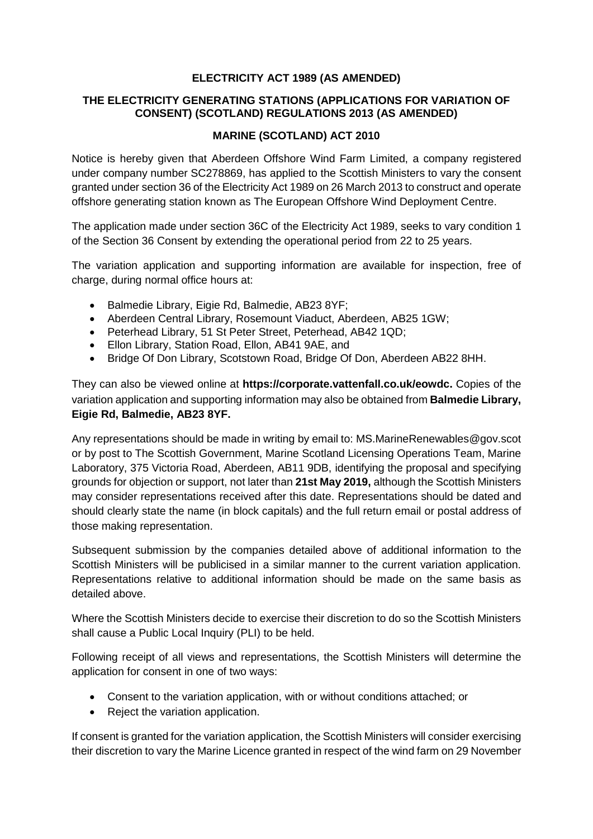## **ELECTRICITY ACT 1989 (AS AMENDED)**

## **THE ELECTRICITY GENERATING STATIONS (APPLICATIONS FOR VARIATION OF CONSENT) (SCOTLAND) REGULATIONS 2013 (AS AMENDED)**

## **MARINE (SCOTLAND) ACT 2010**

Notice is hereby given that Aberdeen Offshore Wind Farm Limited, a company registered under company number SC278869, has applied to the Scottish Ministers to vary the consent granted under section 36 of the Electricity Act 1989 on 26 March 2013 to construct and operate offshore generating station known as The European Offshore Wind Deployment Centre.

The application made under section 36C of the Electricity Act 1989, seeks to vary condition 1 of the Section 36 Consent by extending the operational period from 22 to 25 years.

The variation application and supporting information are available for inspection, free of charge, during normal office hours at:

- Balmedie Library, Eigie Rd, Balmedie, AB23 8YF;
- Aberdeen Central Library, Rosemount Viaduct, Aberdeen, AB25 1GW;
- Peterhead Library, 51 St Peter Street, Peterhead, AB42 1QD;
- Ellon Library, Station Road, Ellon, AB41 9AE, and
- Bridge Of Don Library, Scotstown Road, Bridge Of Don, Aberdeen AB22 8HH.

They can also be viewed online at **https://corporate.vattenfall.co.uk/eowdc.** Copies of the variation application and supporting information may also be obtained from **Balmedie Library, Eigie Rd, Balmedie, AB23 8YF.** 

Any representations should be made in writing by email to: MS.MarineRenewables@gov.scot or by post to The Scottish Government, Marine Scotland Licensing Operations Team, Marine Laboratory, 375 Victoria Road, Aberdeen, AB11 9DB, identifying the proposal and specifying grounds for objection or support, not later than **21st May 2019,** although the Scottish Ministers may consider representations received after this date. Representations should be dated and should clearly state the name (in block capitals) and the full return email or postal address of those making representation.

Subsequent submission by the companies detailed above of additional information to the Scottish Ministers will be publicised in a similar manner to the current variation application. Representations relative to additional information should be made on the same basis as detailed above.

Where the Scottish Ministers decide to exercise their discretion to do so the Scottish Ministers shall cause a Public Local Inquiry (PLI) to be held.

Following receipt of all views and representations, the Scottish Ministers will determine the application for consent in one of two ways:

- Consent to the variation application, with or without conditions attached; or
- Reject the variation application.

If consent is granted for the variation application, the Scottish Ministers will consider exercising their discretion to vary the Marine Licence granted in respect of the wind farm on 29 November